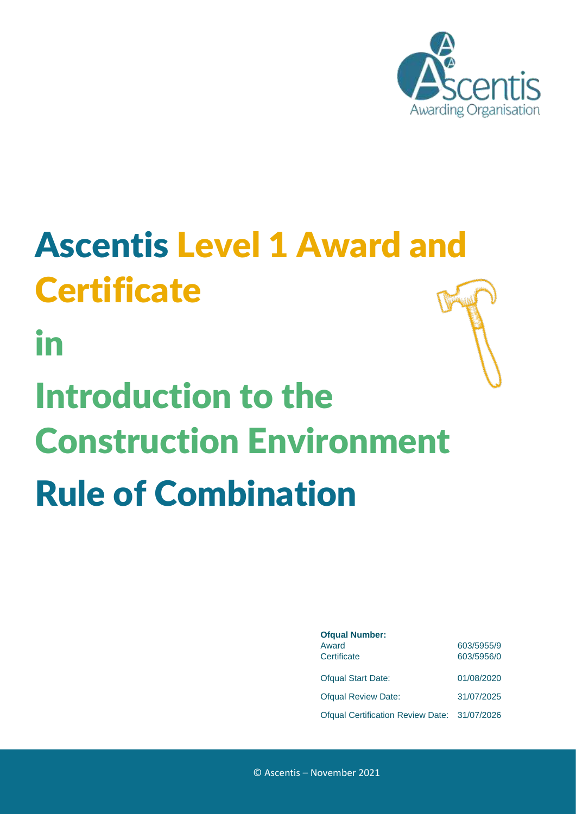

# <span id="page-0-0"></span>Ascentis Level 1 Award and **Certificate**

in

# Introduction to the Construction Environment Rule of Combination

| <b>Ofqual Number:</b>                        |            |
|----------------------------------------------|------------|
| Award                                        | 603/5955/9 |
| Certificate                                  | 603/5956/0 |
| <b>Ofqual Start Date:</b>                    | 01/08/2020 |
| <b>Ofqual Review Date:</b>                   | 31/07/2025 |
| Ofqual Certification Review Date: 31/07/2026 |            |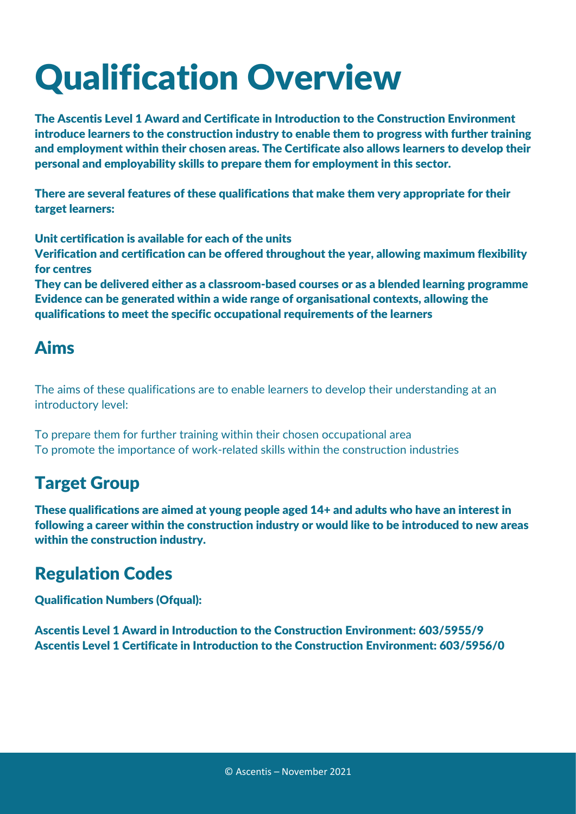## Qualification Overview

The Ascentis Level 1 Award and Certificate in Introduction to the Construction Environment introduce learners to the construction industry to enable them to progress with further training and employment within their chosen areas. The Certificate also allows learners to develop their personal and employability skills to prepare them for employment in this sector.

There are several features of these qualifications that make them very appropriate for their target learners:

Unit certification is available for each of the units

Verification and certification can be offered throughout the year, allowing maximum flexibility for centres

They can be delivered either as a classroom-based courses or as a blended learning programme Evidence can be generated within a wide range of organisational contexts, allowing the qualifications to meet the specific occupational requirements of the learners

## Aims

The aims of these qualifications are to enable learners to develop their understanding at an introductory level:

To prepare them for further training within their chosen occupational area To promote the importance of work-related skills within the construction industries

## Target Group

These qualifications are aimed at young people aged 14+ and adults who have an interest in following a career within the construction industry or would like to be introduced to new areas within the construction industry.

## Regulation Codes

Qualification Numbers (Ofqual):

Ascentis Level 1 Award in Introduction to the Construction Environment: 603/5955/9 Ascentis Level 1 Certificate in Introduction to the Construction Environment: 603/5956/0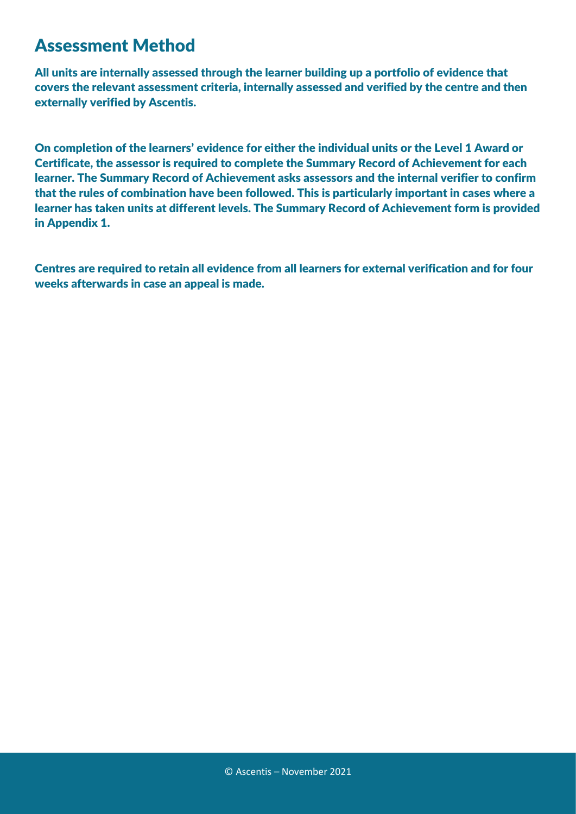#### Assessment Method

All units are internally assessed through the learner building up a portfolio of evidence that covers the relevant assessment criteria, internally assessed and verified by the centre and then externally verified by Ascentis.

On completion of the learners' evidence for either the individual units or the Level 1 Award or Certificate, the assessor is required to complete the Summary Record of Achievement for each learner. The Summary Record of Achievement asks assessors and the internal verifier to confirm that the rules of combination have been followed. This is particularly important in cases where a learner has taken units at different levels. The Summary Record of Achievement form is provided in Appendix 1.

Centres are required to retain all evidence from all learners for external verification and for four weeks afterwards in case an appeal is made.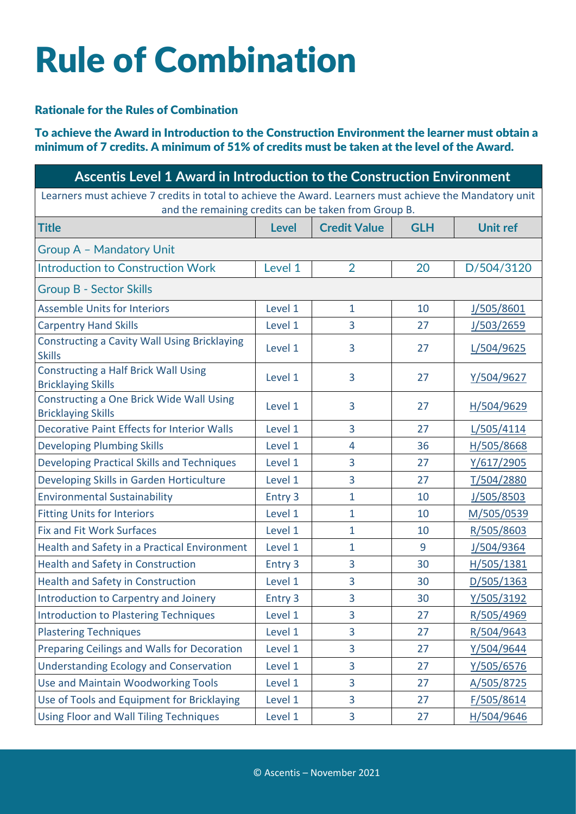## Rule of Combination

#### Rationale for the Rules of Combination

To achieve the Award in Introduction to the Construction Environment the learner must obtain a minimum of 7 credits. A minimum of 51% of credits must be taken at the level of the Award.

| Ascentis Level 1 Award in Introduction to the Construction Environment                                                                                          |              |                     |            |                 |
|-----------------------------------------------------------------------------------------------------------------------------------------------------------------|--------------|---------------------|------------|-----------------|
| Learners must achieve 7 credits in total to achieve the Award. Learners must achieve the Mandatory unit<br>and the remaining credits can be taken from Group B. |              |                     |            |                 |
| <b>Title</b>                                                                                                                                                    | <b>Level</b> | <b>Credit Value</b> | <b>GLH</b> | <b>Unit ref</b> |
| <b>Group A - Mandatory Unit</b>                                                                                                                                 |              |                     |            |                 |
| <b>Introduction to Construction Work</b>                                                                                                                        | Level 1      | $\overline{2}$      | 20         | D/504/3120      |
| <b>Group B - Sector Skills</b>                                                                                                                                  |              |                     |            |                 |
| <b>Assemble Units for Interiors</b>                                                                                                                             | Level 1      | $\mathbf{1}$        | 10         | J/505/8601      |
| <b>Carpentry Hand Skills</b>                                                                                                                                    | Level 1      | 3                   | 27         | J/503/2659      |
| <b>Constructing a Cavity Wall Using Bricklaying</b><br><b>Skills</b>                                                                                            | Level 1      | 3                   | 27         | L/504/9625      |
| <b>Constructing a Half Brick Wall Using</b><br><b>Bricklaying Skills</b>                                                                                        | Level 1      | 3                   | 27         | Y/504/9627      |
| Constructing a One Brick Wide Wall Using<br><b>Bricklaying Skills</b>                                                                                           | Level 1      | 3                   | 27         | H/504/9629      |
| <b>Decorative Paint Effects for Interior Walls</b>                                                                                                              | Level 1      | 3                   | 27         | L/505/4114      |
| <b>Developing Plumbing Skills</b>                                                                                                                               | Level 1      | $\overline{4}$      | 36         | H/505/8668      |
| <b>Developing Practical Skills and Techniques</b>                                                                                                               | Level 1      | 3                   | 27         | Y/617/2905      |
| Developing Skills in Garden Horticulture                                                                                                                        | Level 1      | 3                   | 27         | T/504/2880      |
| <b>Environmental Sustainability</b>                                                                                                                             | Entry 3      | $\mathbf{1}$        | 10         | J/505/8503      |
| <b>Fitting Units for Interiors</b>                                                                                                                              | Level 1      | 1                   | 10         | M/505/0539      |
| <b>Fix and Fit Work Surfaces</b>                                                                                                                                | Level 1      | 1                   | 10         | R/505/8603      |
| Health and Safety in a Practical Environment                                                                                                                    | Level 1      | 1                   | 9          | J/504/9364      |
| <b>Health and Safety in Construction</b>                                                                                                                        | Entry 3      | 3                   | 30         | H/505/1381      |
| <b>Health and Safety in Construction</b>                                                                                                                        | Level 1      | 3                   | 30         | D/505/1363      |
| Introduction to Carpentry and Joinery                                                                                                                           | Entry 3      | 3                   | 30         | Y/505/3192      |
| <b>Introduction to Plastering Techniques</b>                                                                                                                    | Level 1      | 3                   | 27         | R/505/4969      |
| <b>Plastering Techniques</b>                                                                                                                                    | Level 1      | 3                   | 27         | R/504/9643      |
| Preparing Ceilings and Walls for Decoration                                                                                                                     | Level 1      | 3                   | 27         | Y/504/9644      |
| <b>Understanding Ecology and Conservation</b>                                                                                                                   | Level 1      | 3                   | 27         | Y/505/6576      |
| Use and Maintain Woodworking Tools                                                                                                                              | Level 1      | 3                   | 27         | A/505/8725      |
| Use of Tools and Equipment for Bricklaying                                                                                                                      | Level 1      | 3                   | 27         | F/505/8614      |
| Using Floor and Wall Tiling Techniques                                                                                                                          | Level 1      | 3                   | 27         | H/504/9646      |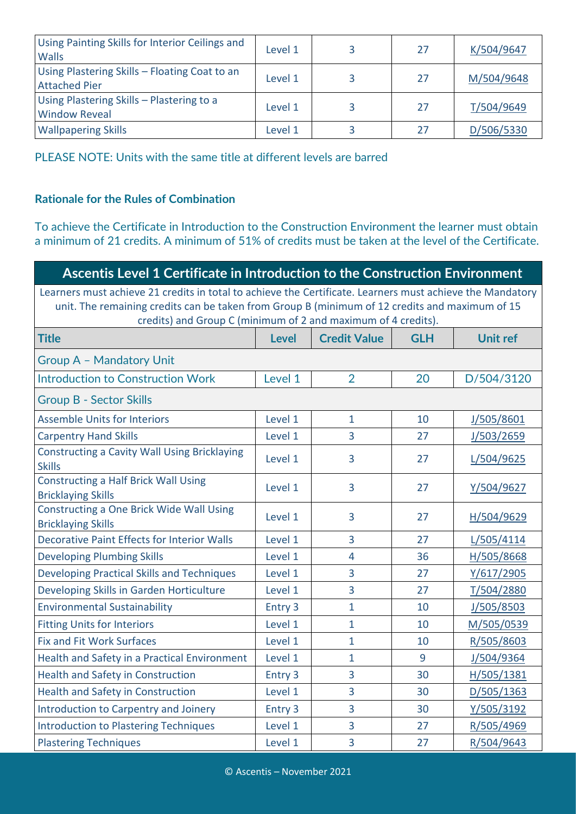| Using Painting Skills for Interior Ceilings and<br><b>Walls</b>       | Level 1 | 27 | K/504/9647 |
|-----------------------------------------------------------------------|---------|----|------------|
| Using Plastering Skills - Floating Coat to an<br><b>Attached Pier</b> | Level 1 | 27 | M/504/9648 |
| Using Plastering Skills - Plastering to a<br><b>Window Reveal</b>     | Level 1 | 27 | T/504/9649 |
| <b>Wallpapering Skills</b>                                            | Level 1 | 27 | D/506/5330 |

PLEASE NOTE: Units with the same title at different levels are barred

#### **Rationale for the Rules of Combination**

To achieve the Certificate in Introduction to the Construction Environment the learner must obtain a minimum of 21 credits. A minimum of 51% of credits must be taken at the level of the Certificate.

| Ascentis Level 1 Certificate in Introduction to the Construction Environment                                                                                                                                                                                                 |              |                     |            |                 |
|------------------------------------------------------------------------------------------------------------------------------------------------------------------------------------------------------------------------------------------------------------------------------|--------------|---------------------|------------|-----------------|
| Learners must achieve 21 credits in total to achieve the Certificate. Learners must achieve the Mandatory<br>unit. The remaining credits can be taken from Group B (minimum of 12 credits and maximum of 15<br>credits) and Group C (minimum of 2 and maximum of 4 credits). |              |                     |            |                 |
| <b>Title</b>                                                                                                                                                                                                                                                                 | <b>Level</b> | <b>Credit Value</b> | <b>GLH</b> | <b>Unit ref</b> |
| Group A - Mandatory Unit                                                                                                                                                                                                                                                     |              |                     |            |                 |
| <b>Introduction to Construction Work</b>                                                                                                                                                                                                                                     | Level 1      | $\overline{2}$      | 20         | D/504/3120      |
| <b>Group B - Sector Skills</b>                                                                                                                                                                                                                                               |              |                     |            |                 |
| <b>Assemble Units for Interiors</b>                                                                                                                                                                                                                                          | Level 1      | $\mathbf{1}$        | 10         | J/505/8601      |
| <b>Carpentry Hand Skills</b>                                                                                                                                                                                                                                                 | Level 1      | 3                   | 27         | J/503/2659      |
| <b>Constructing a Cavity Wall Using Bricklaying</b><br><b>Skills</b>                                                                                                                                                                                                         | Level 1      | 3                   | 27         | L/504/9625      |
| <b>Constructing a Half Brick Wall Using</b><br><b>Bricklaying Skills</b>                                                                                                                                                                                                     | Level 1      | $\overline{3}$      | 27         | Y/504/9627      |
| Constructing a One Brick Wide Wall Using<br><b>Bricklaying Skills</b>                                                                                                                                                                                                        | Level 1      | 3                   | 27         | H/504/9629      |
| <b>Decorative Paint Effects for Interior Walls</b>                                                                                                                                                                                                                           | Level 1      | 3                   | 27         | L/505/4114      |
| <b>Developing Plumbing Skills</b>                                                                                                                                                                                                                                            | Level 1      | $\overline{4}$      | 36         | H/505/8668      |
| <b>Developing Practical Skills and Techniques</b>                                                                                                                                                                                                                            | Level 1      | 3                   | 27         | Y/617/2905      |
| Developing Skills in Garden Horticulture                                                                                                                                                                                                                                     | Level 1      | 3                   | 27         | T/504/2880      |
| <b>Environmental Sustainability</b>                                                                                                                                                                                                                                          | Entry 3      | $\mathbf{1}$        | 10         | J/505/8503      |
| <b>Fitting Units for Interiors</b>                                                                                                                                                                                                                                           | Level 1      | 1                   | 10         | M/505/0539      |
| <b>Fix and Fit Work Surfaces</b>                                                                                                                                                                                                                                             | Level 1      | 1                   | 10         | R/505/8603      |
| Health and Safety in a Practical Environment                                                                                                                                                                                                                                 | Level 1      | $\mathbf{1}$        | 9          | J/504/9364      |
| Health and Safety in Construction                                                                                                                                                                                                                                            | Entry 3      | 3                   | 30         | H/505/1381      |
| <b>Health and Safety in Construction</b>                                                                                                                                                                                                                                     | Level 1      | $\overline{3}$      | 30         | D/505/1363      |
| Introduction to Carpentry and Joinery                                                                                                                                                                                                                                        | Entry 3      | 3                   | 30         | Y/505/3192      |
| <b>Introduction to Plastering Techniques</b>                                                                                                                                                                                                                                 | Level 1      | 3                   | 27         | R/505/4969      |
| <b>Plastering Techniques</b>                                                                                                                                                                                                                                                 | Level 1      | 3                   | 27         | R/504/9643      |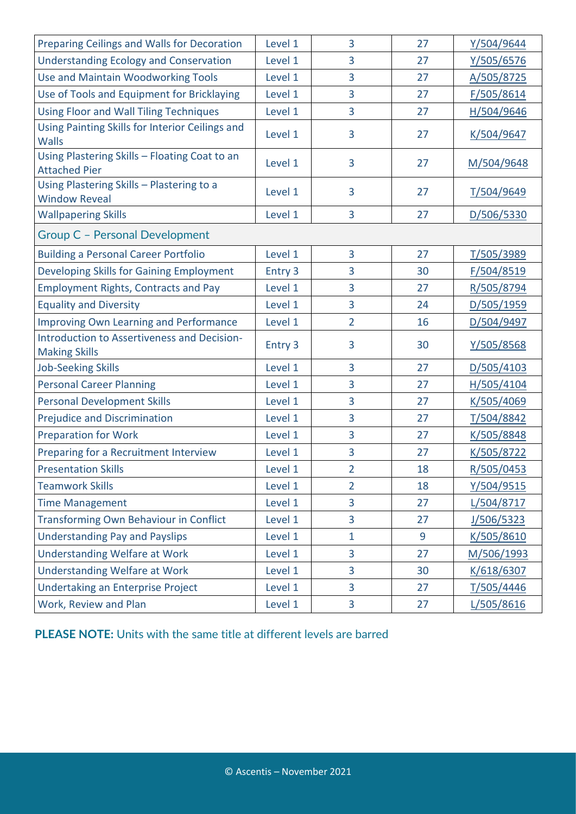| Preparing Ceilings and Walls for Decoration                           | Level 1 | 3              | 27 | Y/504/9644 |
|-----------------------------------------------------------------------|---------|----------------|----|------------|
| <b>Understanding Ecology and Conservation</b>                         | Level 1 | 3              | 27 | Y/505/6576 |
| <b>Use and Maintain Woodworking Tools</b>                             | Level 1 | 3              | 27 | A/505/8725 |
| Use of Tools and Equipment for Bricklaying                            | Level 1 | 3              | 27 | F/505/8614 |
| <b>Using Floor and Wall Tiling Techniques</b>                         | Level 1 | 3              | 27 | H/504/9646 |
| Using Painting Skills for Interior Ceilings and<br><b>Walls</b>       | Level 1 | 3              | 27 | K/504/9647 |
| Using Plastering Skills - Floating Coat to an<br><b>Attached Pier</b> | Level 1 | 3              | 27 | M/504/9648 |
| Using Plastering Skills - Plastering to a<br><b>Window Reveal</b>     | Level 1 | 3              | 27 | T/504/9649 |
| <b>Wallpapering Skills</b>                                            | Level 1 | 3              | 27 | D/506/5330 |
| Group C - Personal Development                                        |         |                |    |            |
| <b>Building a Personal Career Portfolio</b>                           | Level 1 | 3              | 27 | T/505/3989 |
| Developing Skills for Gaining Employment                              | Entry 3 | 3              | 30 | F/504/8519 |
| <b>Employment Rights, Contracts and Pay</b>                           | Level 1 | 3              | 27 | R/505/8794 |
| <b>Equality and Diversity</b>                                         | Level 1 | 3              | 24 | D/505/1959 |
| <b>Improving Own Learning and Performance</b>                         | Level 1 | $\overline{2}$ | 16 | D/504/9497 |
| Introduction to Assertiveness and Decision-<br><b>Making Skills</b>   | Entry 3 | 3              | 30 | Y/505/8568 |
| <b>Job-Seeking Skills</b>                                             | Level 1 | 3              | 27 | D/505/4103 |
| <b>Personal Career Planning</b>                                       | Level 1 | 3              | 27 | H/505/4104 |
| <b>Personal Development Skills</b>                                    | Level 1 | 3              | 27 | K/505/4069 |
| <b>Prejudice and Discrimination</b>                                   | Level 1 | 3              | 27 | T/504/8842 |
| <b>Preparation for Work</b>                                           | Level 1 | 3              | 27 | K/505/8848 |
| Preparing for a Recruitment Interview                                 | Level 1 | 3              | 27 | K/505/8722 |
| <b>Presentation Skills</b>                                            | Level 1 | 2              | 18 | R/505/0453 |
| <b>Teamwork Skills</b>                                                | Level 1 | $\overline{2}$ | 18 | Y/504/9515 |
| <b>Time Management</b>                                                | Level 1 | 3              | 27 | L/504/8717 |
| <b>Transforming Own Behaviour in Conflict</b>                         | Level 1 | 3              | 27 | J/506/5323 |
| <b>Understanding Pay and Payslips</b>                                 | Level 1 | $\mathbf{1}$   | 9  | K/505/8610 |
| <b>Understanding Welfare at Work</b>                                  | Level 1 | 3              | 27 | M/506/1993 |
| <b>Understanding Welfare at Work</b>                                  | Level 1 | 3              | 30 | K/618/6307 |
| Undertaking an Enterprise Project                                     | Level 1 | $\overline{3}$ | 27 | T/505/4446 |
| Work, Review and Plan                                                 | Level 1 | 3              | 27 | L/505/8616 |

**PLEASE NOTE:** Units with the same title at different levels are barred